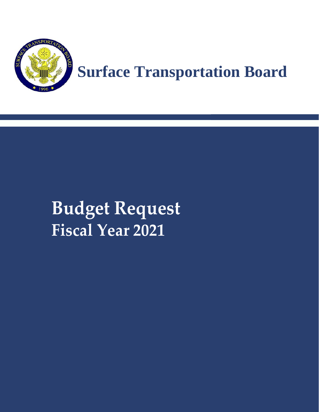

# **Budget Request Fiscal Year 2021**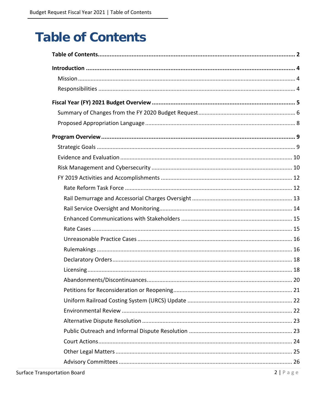# <span id="page-1-0"></span>**Table of Contents**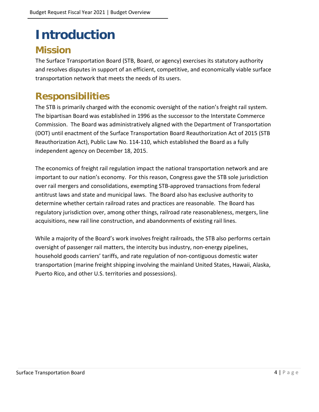# <span id="page-3-0"></span>**Introduction**

### <span id="page-3-1"></span>**Mission**

The Surface Transportation Board (STB, Board, or agency) exercises its statutory authority and resolves disputes in support of an efficient, competitive, and economically viable surface transportation network that meets the needs of its users.

# <span id="page-3-2"></span>**Responsibilities**

The STB is primarily charged with the economic oversight of the nation's freight rail system. The bipartisan Board was established in 1996 as the successor to the Interstate Commerce Commission. The Board was administratively aligned with the Department of Transportation (DOT) until enactment of the Surface Transportation Board Reauthorization Act of 2015 (STB Reauthorization Act), Public Law No. 114-110, which established the Board as a fully independent agency on December 18, 2015.

The economics of freight rail regulation impact the national transportation network and are important to our nation's economy. For this reason, Congress gave the STB sole jurisdiction over rail mergers and consolidations, exempting STB-approved transactions from federal antitrust laws and state and municipal laws. The Board also has exclusive authority to determine whether certain railroad rates and practices are reasonable. The Board has regulatory jurisdiction over, among other things, railroad rate reasonableness, mergers, line acquisitions, new rail line construction, and abandonments of existing rail lines.

While a majority of the Board's work involves freight railroads, the STB also performs certain oversight of passenger rail matters, the intercity bus industry, non-energy pipelines, household goods carriers' tariffs, and rate regulation of non-contiguous domestic water transportation (marine freight shipping involving the mainland United States, Hawaii, Alaska, Puerto Rico, and other U.S. territories and possessions).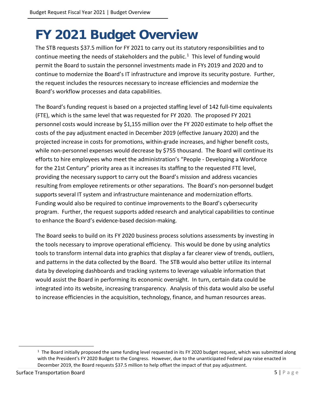# <span id="page-4-0"></span>**FY 2021 Budget Overview**

The STB requests \$37.5 million for FY 2021 to carry out its statutory responsibilities and to continue meeting the needs of stakeholders and the public. $1$  This level of funding would permit the Board to sustain the personnel investments made in FYs 2019 and 2020 and to continue to modernize the Board's IT infrastructure and improve its security posture. Further, the request includes the resources necessary to increase efficiencies and modernize the Board's workflow processes and data capabilities.

The Board's funding request is based on a projected staffing level of 142 full-time equivalents (FTE), which is the same level that was requested for FY 2020. The proposed FY 2021 personnel costs would increase by \$1,155 million over the FY 2020 estimate to help offset the costs of the pay adjustment enacted in December 2019 (effective January 2020) and the projected increase in costs for promotions, within-grade increases, and higher benefit costs, while non-personnel expenses would decrease by \$755 thousand. The Board will continue its efforts to hire employees who meet the administration's "People - Developing a Workforce for the 21st Century" priority area as it increases its staffing to the requested FTE level, providing the necessary support to carry out the Board's mission and address vacancies resulting from employee retirements or other separations. The Board's non-personnel budget supports several IT system and infrastructure maintenance and modernization efforts. Funding would also be required to continue improvements to the Board's cybersecurity program. Further, the request supports added research and analytical capabilities to continue to enhance the Board's evidence-based decision-making.

The Board seeks to build on its FY 2020 business process solutions assessments by investing in the tools necessary to improve operational efficiency. This would be done by using analytics tools to transform internal data into graphics that display a far clearer view of trends, outliers, and patterns in the data collected by the Board. The STB would also better utilize its internal data by developing dashboards and tracking systems to leverage valuable information that would assist the Board in performing its economic oversight. In turn, certain data could be integrated into its website, increasing transparency. Analysis of this data would also be useful to increase efficiencies in the acquisition, technology, finance, and human resources areas.

<span id="page-4-1"></span> $1$  The Board initially proposed the same funding level requested in its FY 2020 budget request, which was submitted along with the President's FY 2020 Budget to the Congress. However, due to the unanticipated Federal pay raise enacted in December 2019, the Board requests \$37.5 million to help offset the impact of that pay adjustment.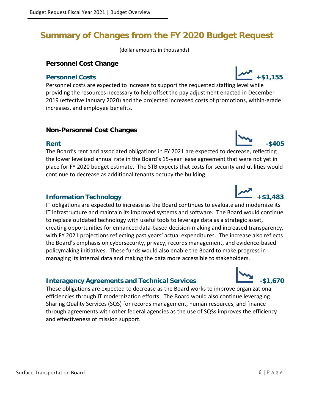### <span id="page-5-0"></span>**Summary of Changes from the FY 2020 Budget Request**

(dollar amounts in thousands)

#### **Personnel Cost Change**

#### **Personnel Costs** +\$1,155

Personnel costs are expected to increase to support the requested staffing level while providing the resources necessary to help offset the pay adjustment enacted in December 2019 (effective January 2020) and the projected increased costs of promotions, within-grade increases, and employee benefits.

#### **Non-Personnel Cost Changes**

The Board's rent and associated obligations in FY 2021 are expected to decrease, reflecting the lower levelized annual rate in the Board's 15-year lease agreement that were not yet in place for FY 2020 budget estimate. The STB expects that costs for security and utilities would continue to decrease as additional tenants occupy the building.

#### **Information Technology +\$1,483**

IT obligations are expected to increase as the Board continues to evaluate and modernize its IT infrastructure and maintain its improved systems and software. The Board would continue to replace outdated technology with useful tools to leverage data as a strategic asset, creating opportunities for enhanced data-based decision-making and increased transparency, with FY 2021 projections reflecting past years' actual expenditures. The increase also reflects the Board's emphasis on cybersecurity, privacy, records management, and evidence-based policymaking initiatives. These funds would also enable the Board to make progress in managing its internal data and making the data more accessible to stakeholders.

#### **Interagency Agreements and Technical Services 1.670**

These obligations are expected to decrease as the Board works to improve organizational efficiencies through IT modernization efforts. The Board would also continue leveraging Sharing Quality Services (SQS) for records management, human resources, and finance through agreements with other federal agencies as the use of SQSs improves the efficiency and effectiveness of mission support.







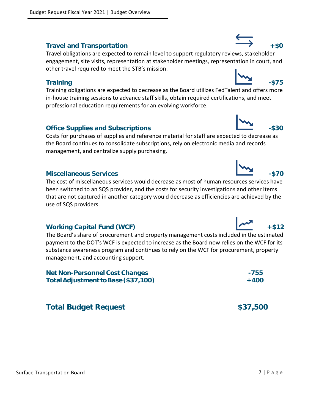#### Travel and Transportation **the example of the set of the set of the set of the set of the set of the set of the set of the set of the set of the set of the set of the set of the set of the set of the set of the set of the**

Travel obligations are expected to remain level to support regulatory reviews, stakeholder engagement, site visits, representation at stakeholder meetings, representation in court, and other travel required to meet the STB's mission.

#### **Training the contract of the contract of the contract of the contract of the contract of the contract of the contract of the contract of the contract of the contract of the contract of the contract of the contract of the**

Training obligations are expected to decrease as the Board utilizes FedTalent and offers more in-house training sessions to advance staff skills, obtain required certifications, and meet professional education requirements for an evolving workforce.

#### **Office Supplies and Subscriptions 4.530 Contract 1.530 Contract 2.530**

Costs for purchases of supplies and reference material for staff are expected to decrease as the Board continues to consolidate subscriptions, rely on electronic media and records management, and centralize supply purchasing.

#### **Miscellaneous Services -\$70**

The cost of miscellaneous services would decrease as most of human resources services have been switched to an SQS provider, and the costs for security investigations and other items that are not captured in another category would decrease as efficiencies are achieved by the use of SQS providers.

#### Working Capital Fund (WCF) + \$12

The Board's share of procurement and property management costs included in the estimated payment to the DOT's WCF is expected to increase as the Board now relies on the WCF for its substance awareness program and continues to rely on the WCF for procurement, property management, and accounting support.

| <b>Net Non-Personnel Cost Changes</b> | -755   |
|---------------------------------------|--------|
| Total Adjustment to Base (\$37,100)   | $+400$ |

### **Total Budget Request 637,500 million and 537,500 million and 537,500 million and 537,500 million and 537,500 million and 537,500 million and 537,500 million and 537,500 million and 537,500 million and 537,500 million and**





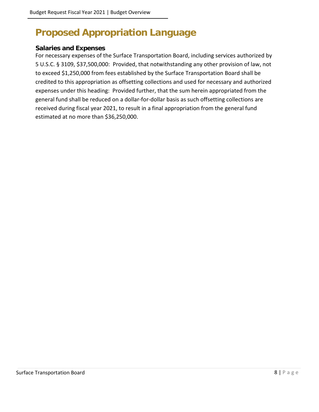# <span id="page-7-0"></span>**Proposed Appropriation Language**

#### **Salaries and Expenses**

For necessary expenses of the Surface Transportation Board, including services authorized by 5 U.S.C. § 3109, \$37,500,000: Provided, that notwithstanding any other provision of law, not to exceed \$1,250,000 from fees established by the Surface Transportation Board shall be credited to this appropriation as offsetting collections and used for necessary and authorized expenses under this heading: Provided further, that the sum herein appropriated from the general fund shall be reduced on a dollar-for-dollar basis as such offsetting collections are received during fiscal year 2021, to result in a final appropriation from the general fund estimated at no more than \$36,250,000.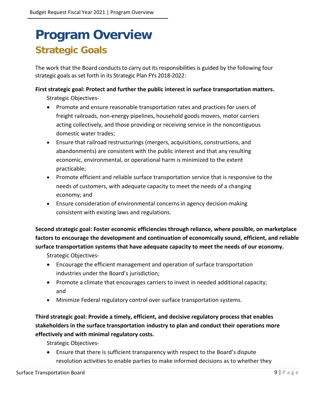# <span id="page-8-1"></span><span id="page-8-0"></span>**Program Overview Strategic Goals**

The work that the Board conducts to carry out its responsibilities is guided by the following four strategic goals as set forth in its Strategic Plan FYs 2018-2022:

#### **First strategic goal: Protect and further the public interest in surface transportation matters.**

Strategic Objectives-

- Promote and ensure reasonable transportation rates and practices for users of freight railroads, non-energy pipelines, household goods movers, motor carriers acting collectively, and those providing or receiving service in the noncontiguous domestic water trades;
- Ensure that railroad restructurings (mergers, acquisitions, constructions, and abandonments) are consistent with the public interest and that any resulting economic, environmental, or operational harm is minimized to the extent practicable;
- Promote efficient and reliable surface transportation service that is responsive to the needs of customers, with adequate capacity to meet the needs of a changing economy; and
- Ensure consideration of environmental concerns in agency decision-making consistent with existing laws and regulations.

**Second strategic goal: Foster economic efficiencies through reliance, where possible, on marketplace factors to encourage the development and continuation of economically sound, efficient, and reliable surface transportation systems that have adequate capacity to meet the needs of our economy.** 

Strategic Objectives-

- Encourage the efficient management and operation of surface transportation industries under the Board's jurisdiction;
- Promote a climate that encourages carriers to invest in needed additional capacity; and
- Minimize Federal regulatory control over surface transportation systems.

#### **Third strategic goal: Provide a timely, efficient, and decisive regulatory process that enables stakeholders in the surface transportation industry to plan and conduct their operations more effectively and with minimal regulatory costs.**

Strategic Objectives-

• Ensure that there is sufficient transparency with respect to the Board's dispute resolution activities to enable parties to make informed decisions as to whether they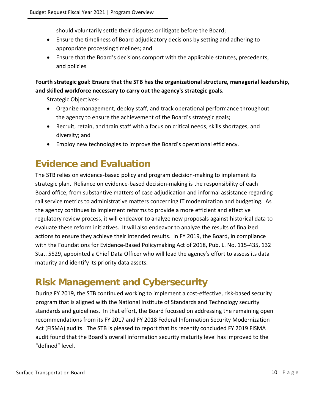should voluntarily settle their disputes or litigate before the Board;

- Ensure the timeliness of Board adjudicatory decisions by setting and adhering to appropriate processing timelines; and
- Ensure that the Board's decisions comport with the applicable statutes, precedents, and policies

**Fourth strategic goal: Ensure that the STB has the organizational structure, managerial leadership, and skilled workforce necessary to carry out the agency's strategic goals.**

Strategic Objectives-

- Organize management, deploy staff, and track operational performance throughout the agency to ensure the achievement of the Board's strategic goals;
- Recruit, retain, and train staff with a focus on critical needs, skills shortages, and diversity; and
- Employ new technologies to improve the Board's operational efficiency.

# <span id="page-9-0"></span>**Evidence and Evaluation**

The STB relies on evidence-based policy and program decision-making to implement its strategic plan. Reliance on evidence-based decision-making is the responsibility of each Board office, from substantive matters of case adjudication and informal assistance regarding rail service metrics to administrative matters concerning IT modernization and budgeting. As the agency continues to implement reforms to provide a more efficient and effective regulatory review process, it will endeavor to analyze new proposals against historical data to evaluate these reform initiatives. It will also endeavor to analyze the results of finalized actions to ensure they achieve their intended results. In FY 2019, the Board, in compliance with the Foundations for Evidence-Based Policymaking Act of 2018, Pub. L. No. 115-435, 132 Stat. 5529, appointed a Chief Data Officer who will lead the agency's effort to assess its data maturity and identify its priority data assets.

### <span id="page-9-1"></span>**Risk Management and Cybersecurity**

During FY 2019, the STB continued working to implement a cost-effective, risk-based security program that is aligned with the National Institute of Standards and Technology security standards and guidelines. In that effort, the Board focused on addressing the remaining open recommendations from its FY 2017 and FY 2018 Federal Information Security Modernization Act (FISMA) audits. The STB is pleased to report that its recently concluded FY 2019 FISMA audit found that the Board's overall information security maturity level has improved to the "defined" level.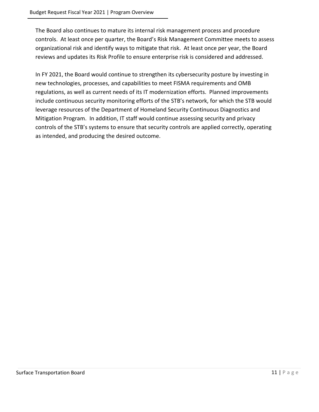The Board also continues to mature its internal risk management process and procedure controls. At least once per quarter, the Board's Risk Management Committee meets to assess organizational risk and identify ways to mitigate that risk. At least once per year, the Board reviews and updates its Risk Profile to ensure enterprise risk is considered and addressed.

In FY 2021, the Board would continue to strengthen its cybersecurity posture by investing in new technologies, processes, and capabilities to meet FISMA requirements and OMB regulations, as well as current needs of its IT modernization efforts. Planned improvements include continuous security monitoring efforts of the STB's network, for which the STB would leverage resources of the Department of Homeland Security Continuous Diagnostics and Mitigation Program. In addition, IT staff would continue assessing security and privacy controls of the STB's systems to ensure that security controls are applied correctly, operating as intended, and producing the desired outcome.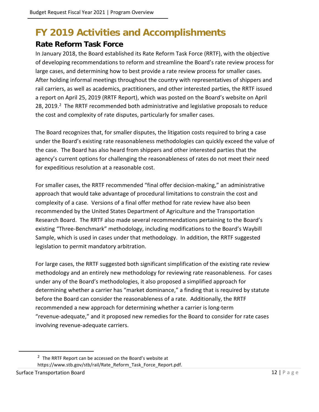# <span id="page-11-0"></span>**FY 2019 Activities and Accomplishments**

#### <span id="page-11-1"></span>**Rate Reform Task Force**

In January 2018, the Board established its Rate Reform Task Force (RRTF), with the objective of developing recommendations to reform and streamline the Board's rate review process for large cases, and determining how to best provide a rate review process for smaller cases. After holding informal meetings throughout the country with representatives of shippers and rail carriers, as well as academics, practitioners, and other interested parties, the RRTF issued a report on April 25, 2019 (RRTF Report), which was posted on the Board's website on April 28, 2019.<sup>2</sup> The RRTF recommended both administrative and legislative proposals to reduce the cost and complexity of rate disputes, particularly for smaller cases.

The Board recognizes that, for smaller disputes, the litigation costs required to bring a case under the Board's existing rate reasonableness methodologies can quickly exceed the value of the case. The Board has also heard from shippers and other interested parties that the agency's current options for challenging the reasonableness of rates do not meet their need for expeditious resolution at a reasonable cost.

For smaller cases, the RRTF recommended "final offer decision-making," an administrative approach that would take advantage of procedural limitations to constrain the cost and complexity of a case. Versions of a final offer method for rate review have also been recommended by the United States Department of Agriculture and the Transportation Research Board. The RRTF also made several recommendations pertaining to the Board's existing "Three-Benchmark" methodology, including modifications to the Board's Waybill Sample, which is used in cases under that methodology. In addition, the RRTF suggested legislation to permit mandatory arbitration.

For large cases, the RRTF suggested both significant simplification of the existing rate review methodology and an entirely new methodology for reviewing rate reasonableness. For cases under any of the Board's methodologies, it also proposed a simplified approach for determining whether a carrier has "market dominance," a finding that is required by statute before the Board can consider the reasonableness of a rate. Additionally, the RRTF recommended a new approach for determining whether a carrier is long-term "revenue-adequate," and it proposed new remedies for the Board to consider for rate cases involving revenue-adequate carriers.

<span id="page-11-2"></span><sup>2</sup> The RRTF Report can be accessed on the Board's website at https://www.stb.gov/stb/rail/Rate\_Reform\_Task\_Force\_Report.pdf.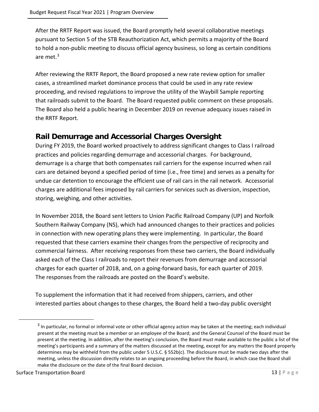After the RRTF Report was issued, the Board promptly held several collaborative meetings pursuant to Section 5 of the STB Reauthorization Act, which permits a majority of the Board to hold a non-public meeting to discuss official agency business, so long as certain conditions are met. [3](#page-12-1)

After reviewing the RRTF Report, the Board proposed a new rate review option for smaller cases, a streamlined market dominance process that could be used in any rate review proceeding, and revised regulations to improve the utility of the Waybill Sample reporting that railroads submit to the Board. The Board requested public comment on these proposals. The Board also held a public hearing in December 2019 on revenue adequacy issues raised in the RRTF Report.

#### <span id="page-12-0"></span>**Rail Demurrage and Accessorial Charges Oversight**

During FY 2019, the Board worked proactively to address significant changes to Class I railroad practices and policies regarding demurrage and accessorial charges. For background, demurrage is a charge that both compensates rail carriers for the expense incurred when rail cars are detained beyond a specified period of time (i.e., free time) and serves as a penalty for undue car detention to encourage the efficient use of rail cars in the rail network. Accessorial charges are additional fees imposed by rail carriers for services such as diversion, inspection, storing, weighing, and other activities.

In November 2018, the Board sent letters to Union Pacific Railroad Company (UP) and Norfolk Southern Railway Company (NS), which had announced changes to their practices and policies in connection with new operating plans they were implementing. In particular, the Board requested that these carriers examine their changes from the perspective of reciprocity and commercial fairness. After receiving responses from these two carriers, the Board individually asked each of the Class I railroads to report their revenues from demurrage and accessorial charges for each quarter of 2018, and, on a going-forward basis, for each quarter of 2019. The responses from the railroads are posted on the Board's website.

To supplement the information that it had received from shippers, carriers, and other interested parties about changes to these charges, the Board held a two-day public oversight

<span id="page-12-1"></span> $3$  In particular, no formal or informal vote or other official agency action may be taken at the meeting; each individual present at the meeting must be a member or an employee of the Board; and the General Counsel of the Board must be present at the meeting. In addition, after the meeting's conclusion, the Board must make available to the public a list of the meeting's participants and a summary of the matters discussed at the meeting, except for any matters the Board properly determines may be withheld from the public under 5 U.S.C. § 552b(c). The disclosure must be made two days after the meeting, unless the discussion directly relates to an ongoing proceeding before the Board, in which case the Board shall make the disclosure on the date of the final Board decision.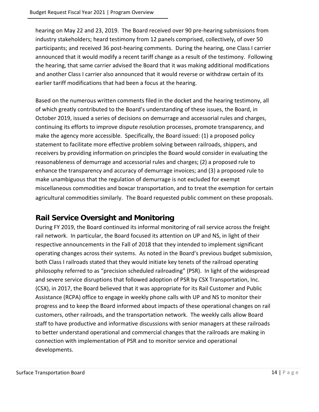hearing on May 22 and 23, 2019. The Board received over 90 pre-hearing submissions from industry stakeholders; heard testimony from 12 panels comprised, collectively, of over 50 participants; and received 36 post-hearing comments. During the hearing, one Class I carrier announced that it would modify a recent tariff change as a result of the testimony. Following the hearing, that same carrier advised the Board that it was making additional modifications and another Class I carrier also announced that it would reverse or withdraw certain of its earlier tariff modifications that had been a focus at the hearing.

Based on the numerous written comments filed in the docket and the hearing testimony, all of which greatly contributed to the Board's understanding of these issues, the Board, in October 2019, issued a series of decisions on demurrage and accessorial rules and charges, continuing its efforts to improve dispute resolution processes, promote transparency, and make the agency more accessible. Specifically, the Board issued: (1) a proposed policy statement to facilitate more effective problem solving between railroads, shippers, and receivers by providing information on principles the Board would consider in evaluating the reasonableness of demurrage and accessorial rules and charges; (2) a proposed rule to enhance the transparency and accuracy of demurrage invoices; and (3) a proposed rule to make unambiguous that the regulation of demurrage is not excluded for exempt miscellaneous commodities and boxcar transportation, and to treat the exemption for certain agricultural commodities similarly. The Board requested public comment on these proposals.

### <span id="page-13-0"></span>**Rail Service Oversight and Monitoring**

During FY 2019, the Board continued its informal monitoring of rail service across the freight rail network. In particular, the Board focused its attention on UP and NS, in light of their respective announcements in the Fall of 2018 that they intended to implement significant operating changes across their systems. As noted in the Board's previous budget submission, both Class I railroads stated that they would initiate key tenets of the railroad operating philosophy referred to as "precision scheduled railroading" (PSR). In light of the widespread and severe service disruptions that followed adoption of PSR by CSX Transportation, Inc. (CSX), in 2017, the Board believed that it was appropriate for its Rail Customer and Public Assistance (RCPA) office to engage in weekly phone calls with UP and NS to monitor their progress and to keep the Board informed about impacts of these operational changes on rail customers, other railroads, and the transportation network. The weekly calls allow Board staff to have productive and informative discussions with senior managers at these railroads to better understand operational and commercial changes that the railroads are making in connection with implementation of PSR and to monitor service and operational developments.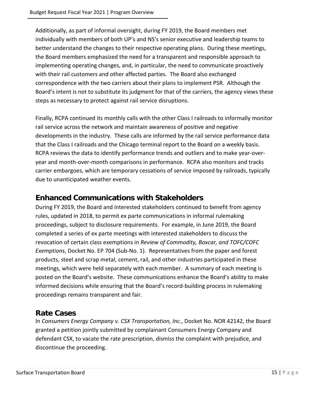Additionally, as part of informal oversight, during FY 2019, the Board members met individually with members of both UP's and NS's senior executive and leadership teams to better understand the changes to their respective operating plans. During these meetings, the Board members emphasized the need for a transparent and responsible approach to implementing operating changes, and, in particular, the need to communicate proactively with their rail customers and other affected parties. The Board also exchanged correspondence with the two carriers about their plans to implement PSR. Although the Board's intent is not to substitute its judgment for that of the carriers, the agency views these steps as necessary to protect against rail service disruptions.

Finally, RCPA continued its monthly calls with the other Class I railroads to informally monitor rail service across the network and maintain awareness of positive and negative developments in the industry. These calls are informed by the rail service performance data that the Class I railroads and the Chicago terminal report to the Board on a weekly basis. RCPA reviews the data to identify performance trends and outliers and to make year-overyear and month-over-month comparisons in performance. RCPA also monitors and tracks carrier embargoes, which are temporary cessations of service imposed by railroads, typically due to unanticipated weather events.

#### <span id="page-14-0"></span>**Enhanced Communications with Stakeholders**

During FY 2019, the Board and interested stakeholders continued to benefit from agency rules, updated in 2018, to permit ex parte communications in informal rulemaking proceedings, subject to disclosure requirements. For example, in June 2019, the Board completed a series of ex parte meetings with interested stakeholders to discuss the revocation of certain class exemptions in *Review of Commodity, Boxcar, and TOFC/COFC Exemptions*, Docket No. EP 704 (Sub-No. 1). Representatives from the paper and forest products, steel and scrap metal, cement, rail, and other industries participated in these meetings, which were held separately with each member. A summary of each meeting is posted on the Board's website. These communications enhance the Board's ability to make informed decisions while ensuring that the Board's record-building process in rulemaking proceedings remains transparent and fair.

#### <span id="page-14-1"></span>**Rate Cases**

In *Consumers Energy Company v. CSX Transportation, Inc.*, Docket No. NOR 42142, the Board granted a petition jointly submitted by complainant Consumers Energy Company and defendant CSX, to vacate the rate prescription, dismiss the complaint with prejudice, and discontinue the proceeding.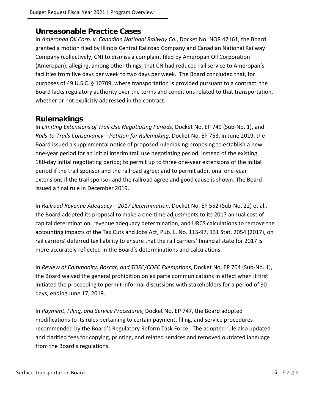#### <span id="page-15-0"></span>**Unreasonable Practice Cases**

In *Ameropan Oil Corp. v. Canadian National Railway Co.*, Docket No. NOR 42161, the Board granted a motion filed by Illinois Central Railroad Company and Canadian National Railway Company (collectively, CN) to dismiss a complaint filed by Ameropan Oil Corporation (Ameropan), alleging, among other things, that CN had reduced rail service to Ameropan's facilities from five days per week to two days per week. The Board concluded that, for purposes of 49 U.S.C. § 10709, where transportation is provided pursuant to a contract, the Board lacks regulatory authority over the terms and conditions related to that transportation, whether or not explicitly addressed in the contract.

#### <span id="page-15-1"></span>**Rulemakings**

In *Limiting Extensions of Trail Use Negotiating Periods*, Docket No. EP 749 (Sub-No. 1), and *Rails-to-Trails Conservancy—Petition for Rulemaking*, Docket No. EP 753, in June 2019, the Board issued a supplemental notice of proposed rulemaking proposing to establish a new one-year period for an initial interim trail use negotiating period, instead of the existing 180-day initial negotiating period; to permit up to three one-year extensions of the initial period if the trail sponsor and the railroad agree; and to permit additional one-year extensions if the trail sponsor and the railroad agree and good cause is shown. The Board issued a final rule in December 2019.

In *Railroad Revenue Adequacy—2017 Determination*, Docket No. EP 552 (Sub-No. 22) et al., the Board adopted its proposal to make a one-time adjustments to its 2017 annual cost of capital determination, revenue adequacy determination, and URCS calculations to remove the accounting impacts of the Tax Cuts and Jobs Act, Pub. L. No. 115-97, 131 Stat. 2054 (2017), on rail carriers' deferred tax liability to ensure that the rail carriers' financial state for 2017 is more accurately reflected in the Board's determinations and calculations.

In *Review of Commodity, Boxcar, and TOFC/COFC Exemptions*, Docket No. EP 704 (Sub-No. 1), the Board waived the general prohibition on ex parte communications in effect when it first initiated the proceeding to permit informal discussions with stakeholders for a period of 90 days, ending June 17, 2019.

In *Payment, Filing, and Service Procedures*, Docket No. EP 747, the Board adopted modifications to its rules pertaining to certain payment, filing, and service procedures recommended by the Board's Regulatory Reform Task Force. The adopted rule also updated and clarified fees for copying, printing, and related services and removed outdated language from the Board's regulations.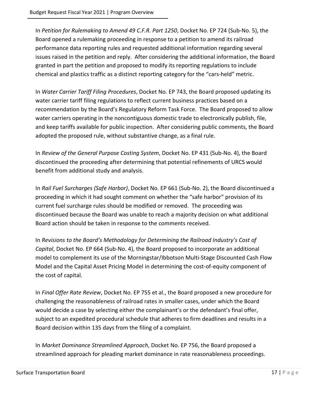In *Petition for Rulemaking to Amend 49 C.F.R. Part 1250*, Docket No. EP 724 (Sub-No. 5), the Board opened a rulemaking proceeding in response to a petition to amend its railroad performance data reporting rules and requested additional information regarding several issues raised in the petition and reply. After considering the additional information, the Board granted in part the petition and proposed to modify its reporting regulations to include chemical and plastics traffic as a distinct reporting category for the "cars-held" metric.

In *Water Carrier Tariff Filing Procedures*, Docket No. EP 743, the Board proposed updating its water carrier tariff filing regulations to reflect current business practices based on a recommendation by the Board's Regulatory Reform Task Force. The Board proposed to allow water carriers operating in the noncontiguous domestic trade to electronically publish, file, and keep tariffs available for public inspection. After considering public comments, the Board adopted the proposed rule, without substantive change, as a final rule.

In *Review of the General Purpose Costing System*, Docket No. EP 431 (Sub-No. 4), the Board discontinued the proceeding after determining that potential refinements of URCS would benefit from additional study and analysis.

In *Rail Fuel Surcharges (Safe Harbor)*, Docket No. EP 661 (Sub-No. 2), the Board discontinued a proceeding in which it had sought comment on whether the "safe harbor" provision of its current fuel surcharge rules should be modified or removed. The proceeding was discontinued because the Board was unable to reach a majority decision on what additional Board action should be taken in response to the comments received.

In *Revisions to the Board's Methodology for Determining the Railroad Industry's Cost of Capital*, Docket No. EP 664 (Sub-No. 4), the Board proposed to incorporate an additional model to complement its use of the Morningstar/Ibbotson Multi-Stage Discounted Cash Flow Model and the Capital Asset Pricing Model in determining the cost-of-equity component of the cost of capital.

In *Final Offer Rate Review*, Docket No. EP 755 et al., the Board proposed a new procedure for challenging the reasonableness of railroad rates in smaller cases, under which the Board would decide a case by selecting either the complainant's or the defendant's final offer, subject to an expedited procedural schedule that adheres to firm deadlines and results in a Board decision within 135 days from the filing of a complaint.

In *Market Dominance Streamlined Approach*, Docket No. EP 756, the Board proposed a streamlined approach for pleading market dominance in rate reasonableness proceedings.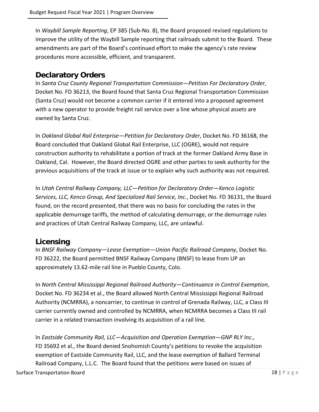In *Waybill Sample Reporting*, EP 385 (Sub-No. 8), the Board proposed revised regulations to improve the utility of the Waybill Sample reporting that railroads submit to the Board. These amendments are part of the Board's continued effort to make the agency's rate review procedures more accessible, efficient, and transparent.

#### <span id="page-17-0"></span>**Declaratory Orders**

In *Santa Cruz County Regional Transportation Commission—Petition For Declaratory Order*, Docket No. FD 36213, the Board found that Santa Cruz Regional Transportation Commission (Santa Cruz) would not become a common carrier if it entered into a proposed agreement with a new operator to provide freight rail service over a line whose physical assets are owned by Santa Cruz.

In *Oakland Global Rail Enterprise—Petition for Declaratory Order*, Docket No. FD 36168, the Board concluded that Oakland Global Rail Enterprise, LLC (OGRE), would not require construction authority to rehabilitate a portion of track at the former Oakland Army Base in Oakland, Cal. However, the Board directed OGRE and other parties to seek authority for the previous acquisitions of the track at issue or to explain why such authority was not required.

In *Utah Central Railway Company, LLC—Petition for Declaratory Order—Kenco Logistic Services, LLC, Kenco Group, And Specialized Rail Service, Inc.*, Docket No. FD 36131, the Board found, on the record presented, that there was no basis for concluding the rates in the applicable demurrage tariffs, the method of calculating demurrage, or the demurrage rules and practices of Utah Central Railway Company, LLC, are unlawful.

#### <span id="page-17-1"></span>**Licensing**

In *BNSF Railway Company—Lease Exemption—Union Pacific Railroad Company*, Docket No. FD 36222, the Board permitted BNSF Railway Company (BNSF) to lease from UP an approximately 13.62-mile rail line in Pueblo County, Colo.

In *North Central Mississippi Regional Railroad Authority—Continuance in Control Exemption*, Docket No. FD 36234 et al., the Board allowed North Central Mississippi Regional Railroad Authority (NCMRRA), a noncarrier, to continue in control of Grenada Railway, LLC, a Class III carrier currently owned and controlled by NCMRRA, when NCMRRA becomes a Class III rail carrier in a related transaction involving its acquisition of a rail line.

In *Eastside Community Rail, LLC—Acquisition and Operation Exemption—GNP RLY Inc.*, FD 35692 et al., the Board denied Snohomish County's petitions to revoke the acquisition exemption of Eastside Community Rail, LLC, and the lease exemption of Ballard Terminal Railroad Company, L.L.C. The Board found that the petitions were based on issues of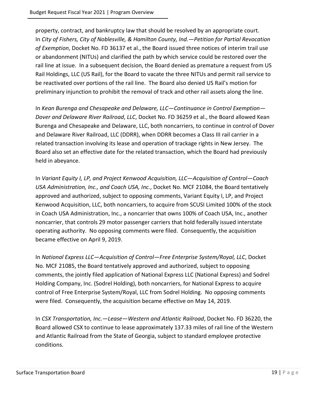property, contract, and bankruptcy law that should be resolved by an appropriate court. In *City of Fishers, City of Noblesville, & Hamilton County, Ind.—Petition for Partial Revocation of Exemption*, Docket No. FD 36137 et al., the Board issued three notices of interim trail use or abandonment (NITUs) and clarified the path by which service could be restored over the rail line at issue. In a subsequent decision, the Board denied as premature a request from US Rail Holdings, LLC (US Rail), for the Board to vacate the three NITUs and permit rail service to be reactivated over portions of the rail line. The Board also denied US Rail's motion for preliminary injunction to prohibit the removal of track and other rail assets along the line.

In *Kean Burenga and Chesapeake and Delaware, LLC—Continuance in Control Exemption— Dover and Delaware River Railroad*, *LLC*, Docket No. FD 36259 et al., the Board allowed Kean Burenga and Chesapeake and Delaware, LLC, both noncarriers, to continue in control of Dover and Delaware River Railroad, LLC (DDRR), when DDRR becomes a Class III rail carrier in a related transaction involving its lease and operation of trackage rights in New Jersey. The Board also set an effective date for the related transaction, which the Board had previously held in abeyance.

In *Variant Equity I, LP, and Project Kenwood Acquisition, LLC—Acquisition of Control—Coach USA Administration, Inc., and Coach USA, Inc.*, Docket No. MCF 21084, the Board tentatively approved and authorized, subject to opposing comments, Variant Equity I, LP, and Project Kenwood Acquisition, LLC, both noncarriers, to acquire from SCUSI Limited 100% of the stock in Coach USA Administration, Inc., a noncarrier that owns 100% of Coach USA, Inc., another noncarrier, that controls 29 motor passenger carriers that hold federally issued interstate operating authority. No opposing comments were filed. Consequently, the acquisition became effective on April 9, 2019.

In *National Express LLC—Acquisition of Control—Free Enterprise System/Royal, LLC*, Docket No. MCF 21085, the Board tentatively approved and authorized, subject to opposing comments, the jointly filed application of National Express LLC (National Express) and Sodrel Holding Company, Inc. (Sodrel Holding), both noncarriers, for National Express to acquire control of Free Enterprise System/Royal, LLC from Sodrel Holding. No opposing comments were filed. Consequently, the acquisition became effective on May 14, 2019.

In *CSX Transportation, Inc.—Lease—Western and Atlantic Railroad*, Docket No. FD 36220, the Board allowed CSX to continue to lease approximately 137.33 miles of rail line of the Western and Atlantic Railroad from the State of Georgia, subject to standard employee protective conditions.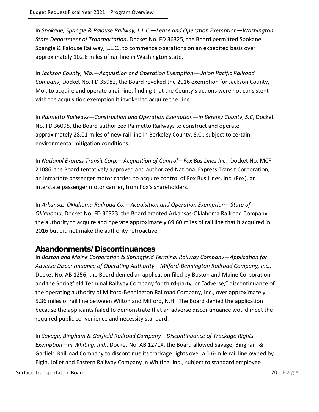In *Spokane, Spangle & Palouse Railway, L.L.C.—Lease and Operation Exemption—Washington State Department of Transportation*, Docket No. FD 36325, the Board permitted Spokane, Spangle & Palouse Railway, L.L.C., to commence operations on an expedited basis over approximately 102.6 miles of rail line in Washington state.

In *Jackson County, Mo.—Acquisition and Operation Exemption—Union Pacific Railroad Company*, Docket No. FD 35982, the Board revoked the 2016 exemption for Jackson County, Mo., to acquire and operate a rail line, finding that the County's actions were not consistent with the acquisition exemption it invoked to acquire the Line.

In *Palmetto Railways—Construction and Operation Exemption—in Berkley County, S.C*, Docket No. FD 36095, the Board authorized Palmetto Railways to construct and operate approximately 28.01 miles of new rail line in Berkeley County, S.C., subject to certain environmental mitigation conditions.

In *National Express Transit Corp.—Acquisition of Control—Fox Bus Lines Inc.*, Docket No. MCF 21086, the Board tentatively approved and authorized National Express Transit Corporation, an intrastate passenger motor carrier, to acquire control of Fox Bus Lines, Inc. (Fox), an interstate passenger motor carrier, from Fox's shareholders.

In *Arkansas-Oklahoma Railroad Co.—Acquisition and Operation Exemption—State of Oklahoma*, Docket No. FD 36323, the Board granted Arkansas-Oklahoma Railroad Company the authority to acquire and operate approximately 69.60 miles of rail line that it acquired in 2016 but did not make the authority retroactive.

#### <span id="page-19-0"></span>**Abandonments/Discontinuances**

In *Boston and Maine Corporation & Springfield Terminal Railway Company—Application for Adverse Discontinuance of Operating Authority—Milford-Bennington Railroad Company, Inc.*, Docket No. AB 1256, the Board denied an application filed by Boston and Maine Corporation and the Springfield Terminal Railway Company for third-party, or "adverse," discontinuance of the operating authority of Milford-Bennington Railroad Company, Inc., over approximately 5.36 miles of rail line between Wilton and Milford, N.H. The Board denied the application because the applicants failed to demonstrate that an adverse discontinuance would meet the required public convenience and necessity standard.

In *Savage, Bingham & Garfield Railroad Company—Discontinuance of Trackage Rights Exemption—in Whiting, Ind.*, Docket No. AB 1271X, the Board allowed Savage, Bingham & Garfield Railroad Company to discontinue its trackage rights over a 0.6-mile rail line owned by Elgin, Joliet and Eastern Railway Company in Whiting, Ind., subject to standard employee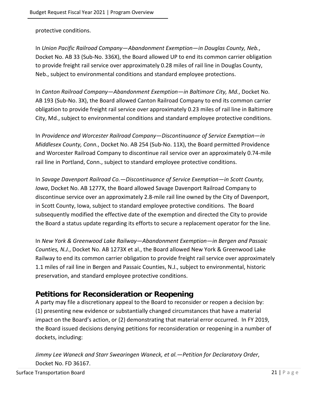protective conditions.

In *Union Pacific Railroad Company—Abandonment Exemption—in Douglas County, Neb.*, Docket No. AB 33 (Sub-No. 336X), the Board allowed UP to end its common carrier obligation to provide freight rail service over approximately 0.28 miles of rail line in Douglas County, Neb., subject to environmental conditions and standard employee protections.

In *Canton Railroad Company—Abandonment Exemption—in Baltimore City, Md.*, Docket No. AB 193 (Sub-No. 3X), the Board allowed Canton Railroad Company to end its common carrier obligation to provide freight rail service over approximately 0.23 miles of rail line in Baltimore City, Md., subject to environmental conditions and standard employee protective conditions.

In *Providence and Worcester Railroad Company—Discontinuance of Service Exemption—in Middlesex County, Conn.*, Docket No. AB 254 (Sub-No. 11X), the Board permitted Providence and Worcester Railroad Company to discontinue rail service over an approximately 0.74-mile rail line in Portland, Conn., subject to standard employee protective conditions.

In *Savage Davenport Railroad Co.—Discontinuance of Service Exemption—in Scott County, Iowa*, Docket No. AB 1277X, the Board allowed Savage Davenport Railroad Company to discontinue service over an approximately 2.8-mile rail line owned by the City of Davenport, in Scott County, Iowa, subject to standard employee protective conditions. The Board subsequently modified the effective date of the exemption and directed the City to provide the Board a status update regarding its efforts to secure a replacement operator for the line.

In *New York & Greenwood Lake Railway—Abandonment Exemption—in Bergen and Passaic Counties, N.J.*, Docket No. AB 1273X et al., the Board allowed New York & Greenwood Lake Railway to end its common carrier obligation to provide freight rail service over approximately 1.1 miles of rail line in Bergen and Passaic Counties, N.J., subject to environmental, historic preservation, and standard employee protective conditions.

#### <span id="page-20-0"></span>**Petitions for Reconsideration or Reopening**

A party may file a discretionary appeal to the Board to reconsider or reopen a decision by: (1) presenting new evidence or substantially changed circumstances that have a material impact on the Board's action, or (2) demonstrating that material error occurred. In FY 2019, the Board issued decisions denying petitions for reconsideration or reopening in a number of dockets, including:

*Jimmy Lee Waneck and Starr Swearingen Waneck, et al.—Petition for Declaratory Order*, Docket No. FD 36167.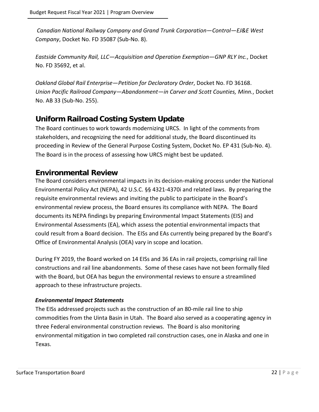*Canadian National Railway Company and Grand Trunk Corporation—Control—EJ&E West Company*, Docket No. FD 35087 (Sub-No. 8).

*Eastside Community Rail, LLC—Acquisition and Operation Exemption—GNP RLY Inc.*, Docket No. FD 35692, et al.

*Oakland Global Rail Enterprise—Petition for Declaratory Order*, Docket No. FD 36168. *Union Pacific Railroad Company—Abandonment—in Carver and Scott Counties, Minn.*, Docket No. AB 33 (Sub-No. 255).

#### <span id="page-21-0"></span>**Uniform Railroad Costing System Update**

The Board continues to work towards modernizing URCS. In light of the comments from stakeholders, and recognizing the need for additional study, the Board discontinued its proceeding in Review of the General Purpose Costing System, Docket No. EP 431 (Sub-No. 4). The Board is in the process of assessing how URCS might best be updated.

#### <span id="page-21-1"></span>**Environmental Review**

The Board considers environmental impacts in its decision-making process under the National Environmental Policy Act (NEPA), 42 U.S.C. §§ 4321-4370i and related laws. By preparing the requisite environmental reviews and inviting the public to participate in the Board's environmental review process, the Board ensures its compliance with NEPA. The Board documents its NEPA findings by preparing Environmental Impact Statements (EIS) and Environmental Assessments (EA), which assess the potential environmental impacts that could result from a Board decision. The EISs and EAs currently being prepared by the Board's Office of Environmental Analysis (OEA) vary in scope and location.

During FY 2019, the Board worked on 14 EISs and 36 EAs in rail projects, comprising rail line constructions and rail line abandonments. Some of these cases have not been formally filed with the Board, but OEA has begun the environmental reviews to ensure a streamlined approach to these infrastructure projects.

#### *Environmental Impact Statements*

The EISs addressed projects such as the construction of an 80-mile rail line to ship commodities from the Uinta Basin in Utah. The Board also served as a cooperating agency in three Federal environmental construction reviews. The Board is also monitoring environmental mitigation in two completed rail construction cases, one in Alaska and one in Texas.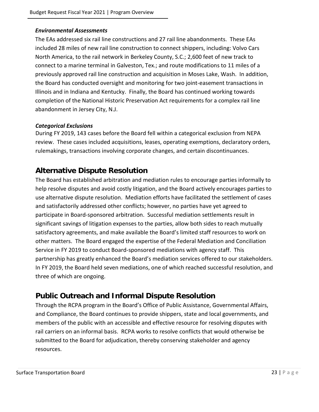#### *Environmental Assessments*

The EAs addressed six rail line constructions and 27 rail line abandonments. These EAs included 28 miles of new rail line construction to connect shippers, including: Volvo Cars North America, to the rail network in Berkeley County, S.C.; 2,600 feet of new track to connect to a marine terminal in Galveston, Tex.; and route modifications to 11 miles of a previously approved rail line construction and acquisition in Moses Lake, Wash. In addition, the Board has conducted oversight and monitoring for two joint-easement transactions in Illinois and in Indiana and Kentucky. Finally, the Board has continued working towards completion of the National Historic Preservation Act requirements for a complex rail line abandonment in Jersey City, N.J.

#### *Categorical Exclusions*

During FY 2019, 143 cases before the Board fell within a categorical exclusion from NEPA review. These cases included acquisitions, leases, operating exemptions, declaratory orders, rulemakings, transactions involving corporate changes, and certain discontinuances.

#### <span id="page-22-0"></span>**Alternative Dispute Resolution**

The Board has established arbitration and mediation rules to encourage parties informally to help resolve disputes and avoid costly litigation, and the Board actively encourages parties to use alternative dispute resolution. Mediation efforts have facilitated the settlement of cases and satisfactorily addressed other conflicts; however, no parties have yet agreed to participate in Board-sponsored arbitration. Successful mediation settlements result in significant savings of litigation expenses to the parties, allow both sides to reach mutually satisfactory agreements, and make available the Board's limited staff resources to work on other matters. The Board engaged the expertise of the Federal Mediation and Conciliation Service in FY 2019 to conduct Board-sponsored mediations with agency staff. This partnership has greatly enhanced the Board's mediation services offered to our stakeholders. In FY 2019, the Board held seven mediations, one of which reached successful resolution, and three of which are ongoing.

#### <span id="page-22-1"></span>**Public Outreach and Informal Dispute Resolution**

Through the RCPA program in the Board's Office of Public Assistance, Governmental Affairs, and Compliance, the Board continues to provide shippers, state and local governments, and members of the public with an accessible and effective resource for resolving disputes with rail carriers on an informal basis. RCPA works to resolve conflicts that would otherwise be submitted to the Board for adjudication, thereby conserving stakeholder and agency resources.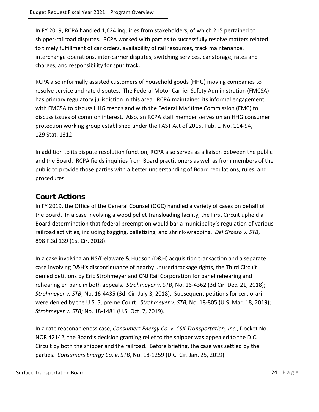In FY 2019, RCPA handled 1,624 inquiries from stakeholders, of which 215 pertained to shipper-railroad disputes. RCPA worked with parties to successfully resolve matters related to timely fulfillment of car orders, availability of rail resources, track maintenance, interchange operations, inter-carrier disputes, switching services, car storage, rates and charges, and responsibility for spur track.

RCPA also informally assisted customers of household goods (HHG) moving companies to resolve service and rate disputes. The Federal Motor Carrier Safety Administration (FMCSA) has primary regulatory jurisdiction in this area. RCPA maintained its informal engagement with FMCSA to discuss HHG trends and with the Federal Maritime Commission (FMC) to discuss issues of common interest. Also, an RCPA staff member serves on an HHG consumer protection working group established under the FAST Act of 2015, Pub. L. No. 114-94, 129 Stat. 1312.

In addition to its dispute resolution function, RCPA also serves as a liaison between the public and the Board. RCPA fields inquiries from Board practitioners as well as from members of the public to provide those parties with a better understanding of Board regulations, rules, and procedures.

#### <span id="page-23-0"></span>**Court Actions**

In FY 2019, the Office of the General Counsel (OGC) handled a variety of cases on behalf of the Board. In a case involving a wood pellet transloading facility, the First Circuit upheld a Board determination that federal preemption would bar a municipality's regulation of various railroad activities, including bagging, palletizing, and shrink-wrapping. *Del Grosso v. STB*, 898 F.3d 139 (1st Cir. 2018).

In a case involving an NS/Delaware & Hudson (D&H) acquisition transaction and a separate case involving D&H's discontinuance of nearby unused trackage rights, the Third Circuit denied petitions by Eric Strohmeyer and CNJ Rail Corporation for panel rehearing and rehearing en banc in both appeals. *Strohmeyer v. STB*, No. 16-4362 (3d Cir. Dec. 21, 2018); *Strohmeyer v. STB*, No. 16-4435 (3d. Cir. July 3, 2018). Subsequent petitions for certiorari were denied by the U.S. Supreme Court. *Strohmeyer v. STB*, No. 18-805 (U.S. Mar. 18, 2019); *Strohmeyer v. STB;* No. 18-1481 (U.S. Oct. 7, 2019).

In a rate reasonableness case, *Consumers Energy Co. v. CSX Transportation, Inc.*, Docket No. NOR 42142, the Board's decision granting relief to the shipper was appealed to the D.C. Circuit by both the shipper and the railroad. Before briefing, the case was settled by the parties. *Consumers Energy Co. v. STB*, No. 18-1259 (D.C. Cir. Jan. 25, 2019).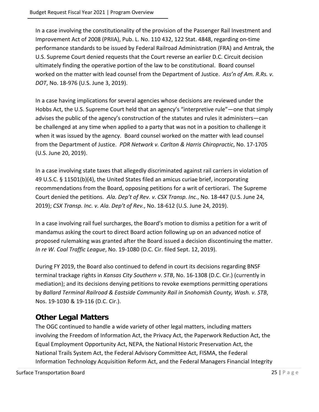In a case involving the constitutionality of the provision of the Passenger Rail Investment and Improvement Act of 2008 (PRIIA), Pub. L. No. 110 432, 122 Stat. 4848, regarding on-time performance standards to be issued by Federal Railroad Administration (FRA) and Amtrak, the U.S. Supreme Court denied requests that the Court reverse an earlier D.C. Circuit decision ultimately finding the operative portion of the law to be constitutional. Board counsel worked on the matter with lead counsel from the Department of Justice. *Ass'n of Am. R.Rs. v. DOT*, No. 18-976 (U.S. June 3, 2019).

In a case having implications for several agencies whose decisions are reviewed under the Hobbs Act, the U.S. Supreme Court held that an agency's "interpretive rule"—one that simply advises the public of the agency's construction of the statutes and rules it administers—can be challenged at any time when applied to a party that was not in a position to challenge it when it was issued by the agency. Board counsel worked on the matter with lead counsel from the Department of Justice. *PDR Network v. Carlton & Harris Chiropractic*, No. 17-1705 (U.S. June 20, 2019).

In a case involving state taxes that allegedly discriminated against rail carriers in violation of 49 U.S.C. § 11501(b)(4), the United States filed an amicus curiae brief, incorporating recommendations from the Board, opposing petitions for a writ of certiorari. The Supreme Court denied the petitions. *Ala. Dep't of Rev. v. CSX Transp. Inc.*, No. 18-447 (U.S. June 24, 2019); *CSX Transp. Inc. v. Ala. Dep't of Rev.*, No. 18-612 (U.S. June 24, 2019).

In a case involving rail fuel surcharges, the Board's motion to dismiss a petition for a writ of mandamus asking the court to direct Board action following up on an advanced notice of proposed rulemaking was granted after the Board issued a decision discontinuing the matter. *In re W. Coal Traffic League*, No. 19-1080 (D.C. Cir. filed Sept. 12, 2019).

During FY 2019, the Board also continued to defend in court its decisions regarding BNSF terminal trackage rights in *Kansas City Southern v. STB*, No. 16-1308 (D.C. Cir.) (currently in mediation); and its decisions denying petitions to revoke exemptions permitting operations by *Ballard Terminal Railroad & Eastside Community Rail in Snohomish County, Wash. v. STB*, Nos. 19-1030 & 19-116 (D.C. Cir.).

### <span id="page-24-0"></span>**Other Legal Matters**

The OGC continued to handle a wide variety of other legal matters, including matters involving the Freedom of Information Act, the Privacy Act, the Paperwork Reduction Act, the Equal Employment Opportunity Act, NEPA, the National Historic Preservation Act, the National Trails System Act, the Federal Advisory Committee Act, FISMA, the Federal Information Technology Acquisition Reform Act, and the Federal Managers Financial Integrity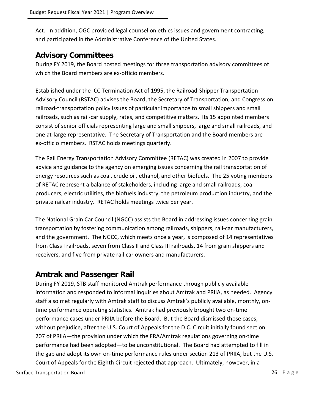Act. In addition, OGC provided legal counsel on ethics issues and government contracting, and participated in the Administrative Conference of the United States.

#### <span id="page-25-0"></span>**Advisory Committees**

During FY 2019, the Board hosted meetings for three transportation advisory committees of which the Board members are ex-officio members.

Established under the ICC Termination Act of 1995, the Railroad-Shipper Transportation Advisory Council (RSTAC) advises the Board, the Secretary of Transportation, and Congress on railroad-transportation policy issues of particular importance to small shippers and small railroads, such as rail-car supply, rates, and competitive matters. Its 15 appointed members consist of senior officials representing large and small shippers, large and small railroads, and one at-large representative. The Secretary of Transportation and the Board members are ex-officio members. RSTAC holds meetings quarterly.

The Rail Energy Transportation Advisory Committee (RETAC) was created in 2007 to provide advice and guidance to the agency on emerging issues concerning the rail transportation of energy resources such as coal, crude oil, ethanol, and other biofuels. The 25 voting members of RETAC represent a balance of stakeholders, including large and small railroads, coal producers, electric utilities, the biofuels industry, the petroleum production industry, and the private railcar industry. RETAC holds meetings twice per year.

The National Grain Car Council (NGCC) assists the Board in addressing issues concerning grain transportation by fostering communication among railroads, shippers, rail-car manufacturers, and the government. The NGCC, which meets once a year, is composed of 14 representatives from Class I railroads, seven from Class II and Class III railroads, 14 from grain shippers and receivers, and five from private rail car owners and manufacturers.

#### <span id="page-25-1"></span>**Amtrak and Passenger Rail**

During FY 2019, STB staff monitored Amtrak performance through publicly available information and responded to informal inquiries about Amtrak and PRIIA, as needed. Agency staff also met regularly with Amtrak staff to discuss Amtrak's publicly available, monthly, ontime performance operating statistics. Amtrak had previously brought two on-time performance cases under PRIIA before the Board. But the Board dismissed those cases, without prejudice, after the U.S. Court of Appeals for the D.C. Circuit initially found section 207 of PRIIA—the provision under which the FRA/Amtrak regulations governing on-time performance had been adopted—to be unconstitutional. The Board had attempted to fill in the gap and adopt its own on-time performance rules under section 213 of PRIIA, but the U.S. Court of Appeals for the Eighth Circuit rejected that approach. Ultimately, however, in a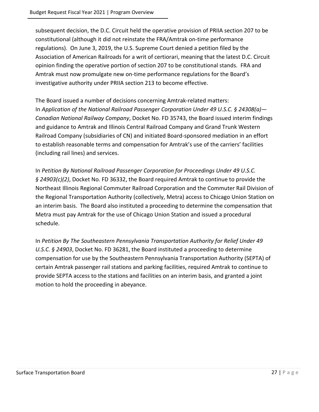subsequent decision, the D.C. Circuit held the operative provision of PRIIA section 207 to be constitutional (although it did not reinstate the FRA/Amtrak on-time performance regulations). On June 3, 2019, the U.S. Supreme Court denied a petition filed by the Association of American Railroads for a writ of certiorari, meaning that the latest D.C. Circuit opinion finding the operative portion of section 207 to be constitutional stands. FRA and Amtrak must now promulgate new on-time performance regulations for the Board's investigative authority under PRIIA section 213 to become effective.

The Board issued a number of decisions concerning Amtrak-related matters: In *Application of the National Railroad Passenger Corporation Under 49 U.S.C. § 24308(a)— Canadian National Railway Company*, Docket No. FD 35743, the Board issued interim findings and guidance to Amtrak and Illinois Central Railroad Company and Grand Trunk Western Railroad Company (subsidiaries of CN) and initiated Board-sponsored mediation in an effort to establish reasonable terms and compensation for Amtrak's use of the carriers' facilities (including rail lines) and services.

In *Petition By National Railroad Passenger Corporation for Proceedings Under 49 U.S.C. § 24903(c)(2)*, Docket No. FD 36332, the Board required Amtrak to continue to provide the Northeast Illinois Regional Commuter Railroad Corporation and the Commuter Rail Division of the Regional Transportation Authority (collectively, Metra) access to Chicago Union Station on an interim basis. The Board also instituted a proceeding to determine the compensation that Metra must pay Amtrak for the use of Chicago Union Station and issued a procedural schedule.

In *Petition By The Southeastern Pennsylvania Transportation Authority for Relief Under 49 U.S.C. § 24903*, Docket No. FD 36281, the Board instituted a proceeding to determine compensation for use by the Southeastern Pennsylvania Transportation Authority (SEPTA) of certain Amtrak passenger rail stations and parking facilities, required Amtrak to continue to provide SEPTA access to the stations and facilities on an interim basis, and granted a joint motion to hold the proceeding in abeyance.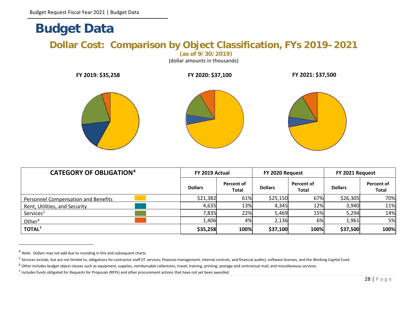# **Budget Data**

## **Dollar Cost: Comparison by Object Classification, FYs 2019–2021**

<span id="page-27-5"></span><span id="page-27-4"></span><span id="page-27-3"></span><span id="page-27-2"></span>**(as of 9/30/2019)**

(dollar amounts in thousands)

| FY 2019: \$35,258 | FY 2020: \$37,100 | FY 2021: \$37,500 |
|-------------------|-------------------|-------------------|
|                   |                   |                   |

<span id="page-27-1"></span><span id="page-27-0"></span>

| <b>CATEGORY OF OBLIGATION4</b>      | FY 2019 Actual |                            | FY 2020 Request |                            | FY 2021 Request |                            |
|-------------------------------------|----------------|----------------------------|-----------------|----------------------------|-----------------|----------------------------|
|                                     | <b>Dollars</b> | Percent of<br><b>Total</b> | <b>Dollars</b>  | Percent of<br><b>Total</b> | <b>Dollars</b>  | Percent of<br><b>Total</b> |
| Personnel Compensation and Benefits | \$21,382       | 61%                        | \$25,150        | 67%                        | \$26,305        | 70%                        |
| Rent, Utilities, and Security       | 4,635          | 13%                        | 4,345           | 12%                        | 3,940           | 11%                        |
| Services <sup>5</sup>               | 7,835          | 22%                        | 5,469           | 15%                        | 5,294           | 14%                        |
| Other <sup>6</sup>                  | 1,406          | 4%                         | 2,136           | 6%                         | 1,961           | 5%                         |
| TOTAL <sup>7</sup>                  | \$35,258       | 100%                       | \$37,100        | 100%                       | \$37,500        | 100%                       |

<sup>4</sup> Note: Dollars may not add due to rounding in this and subsequent charts.

<sup>&</sup>lt;sup>5</sup> Services include, but are not limited to, obligations for contractor staff (IT services; financial management, internal controls, and financial audits), software licenses, and the Working Capital Fund.

 $6$  Other includes budget object classes such as equipment, supplies, reimbursable collections, travel, training, printing, postage and contractual mail, and miscellaneous services.

 $<sup>7</sup>$  Includes funds obligated for Requests for Proposals (RFPs) and other procurement actions that have not yet been awarded.</sup>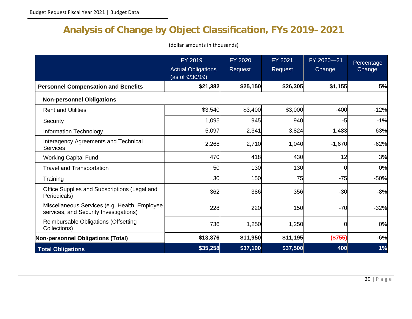# **Analysis of Change by Object Classification, FYs 2019–2021**

(dollar amounts in thousands)

<span id="page-28-0"></span>

|                                                                                         | FY 2019<br><b>Actual Obligations</b><br>(as of 9/30/19) | <b>FY 2020</b><br>Request | FY 2021<br>Request | FY 2020-21<br>Change | Percentage<br>Change |
|-----------------------------------------------------------------------------------------|---------------------------------------------------------|---------------------------|--------------------|----------------------|----------------------|
| <b>Personnel Compensation and Benefits</b>                                              | \$21,382                                                | \$25,150                  | \$26,305           | \$1,155              | 5%                   |
| <b>Non-personnel Obligations</b>                                                        |                                                         |                           |                    |                      |                      |
| <b>Rent and Utilities</b>                                                               | \$3,540                                                 | \$3,400                   | \$3,000            | $-400$               | $-12%$               |
| Security                                                                                | 1,095                                                   | 945                       | 940                | -5                   | $-1%$                |
| Information Technology                                                                  | 5,097                                                   | 2,341                     | 3,824              | 1,483                | 63%                  |
| Interagency Agreements and Technical<br><b>Services</b>                                 | 2,268                                                   | 2,710                     | 1,040              | $-1,670$             | $-62%$               |
| <b>Working Capital Fund</b>                                                             | 470                                                     | 418                       | 430                | 12                   | 3%                   |
| <b>Travel and Transportation</b>                                                        | 50                                                      | 130                       | 130                | $\Omega$             | 0%                   |
| Training                                                                                | 30                                                      | 150                       | 75                 | $-75$                | $-50%$               |
| Office Supplies and Subscriptions (Legal and<br>Periodicals)                            | 362                                                     | 386                       | 356                | $-30$                | $-8%$                |
| Miscellaneous Services (e.g. Health, Employee<br>services, and Security Investigations) | 228                                                     | 220                       | 150                | $-70$                | $-32%$               |
| Reimbursable Obligations (Offsetting<br>Collections)                                    | 736                                                     | 1,250                     | 1,250              | 0                    | 0%                   |
| Non-personnel Obligations (Total)                                                       | \$13,876                                                | \$11,950                  | \$11,195           | (\$755)              | $-6%$                |
| <b>Total Obligations</b>                                                                | \$35,258                                                | \$37,100                  | \$37,500           | 400                  | 1%                   |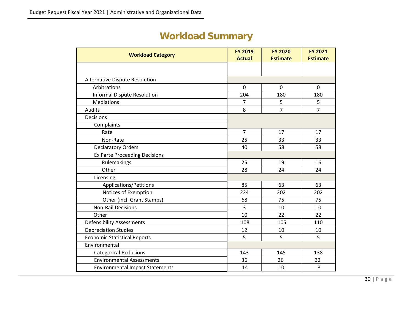# **Workload Summary**

<span id="page-29-0"></span>

| <b>Workload Category</b>               | <b>FY 2019</b> | <b>FY 2020</b>  | <b>FY 2021</b>  |
|----------------------------------------|----------------|-----------------|-----------------|
|                                        | <b>Actual</b>  | <b>Estimate</b> | <b>Estimate</b> |
|                                        |                |                 |                 |
| Alternative Dispute Resolution         |                |                 |                 |
| Arbitrations                           | $\mathbf 0$    | $\overline{0}$  | $\Omega$        |
| <b>Informal Dispute Resolution</b>     | 204            | 180             | 180             |
| <b>Mediations</b>                      | 7              | 5               | 5               |
| <b>Audits</b>                          | 8              | $\overline{7}$  | $\overline{7}$  |
| Decisions                              |                |                 |                 |
| Complaints                             |                |                 |                 |
| Rate                                   | $\overline{7}$ | 17              | 17              |
| Non-Rate                               | 25             | 33              | 33              |
| <b>Declaratory Orders</b>              | 40             | 58              | 58              |
| <b>Ex Parte Proceeding Decisions</b>   |                |                 |                 |
| Rulemakings                            | 25             | 19              | 16              |
| Other                                  | 28             | 24              | 24              |
| Licensing                              |                |                 |                 |
| Applications/Petitions                 | 85             | 63              | 63              |
| Notices of Exemption                   | 224            | 202             | 202             |
| Other (incl. Grant Stamps)             | 68             | 75              | 75              |
| <b>Non-Rail Decisions</b>              | 3              | 10              | 10              |
| Other                                  | 10             | 22              | 22              |
| <b>Defensibility Assessments</b>       | 108            | 105             | 110             |
| <b>Depreciation Studies</b>            | 12             | 10              | 10              |
| <b>Economic Statistical Reports</b>    | 5              | 5               | 5               |
| Environmental                          |                |                 |                 |
| <b>Categorical Exclusions</b>          | 143            | 145             | 138             |
| <b>Environmental Assessments</b>       | 36             | 26              | 32              |
| <b>Environmental Impact Statements</b> | 14             | 10              | 8               |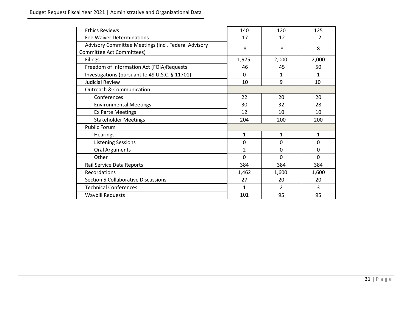| <b>Ethics Reviews</b>                                                            | 140            | 120          | 125          |
|----------------------------------------------------------------------------------|----------------|--------------|--------------|
| Fee Waiver Determinations                                                        | 17             | 12           | 12           |
| Advisory Committee Meetings (incl. Federal Advisory<br>Committee Act Committees) | 8              | 8            | 8            |
| <b>Filings</b>                                                                   | 1,975          | 2,000        | 2,000        |
| Freedom of Information Act (FOIA)Requests                                        | 46             | 45           | 50           |
| Investigations (pursuant to 49 U.S.C. § 11701)                                   | $\Omega$       | $\mathbf{1}$ | $\mathbf{1}$ |
| <b>Judicial Review</b>                                                           | 10             | 9            | 10           |
| <b>Outreach &amp; Communication</b>                                              |                |              |              |
| Conferences                                                                      | 22             | 20           | 20           |
| <b>Environmental Meetings</b>                                                    | 30             | 32           | 28           |
| <b>Ex Parte Meetings</b>                                                         | 12             | 10           | 10           |
| <b>Stakeholder Meetings</b>                                                      | 204            | 200          | 200          |
| <b>Public Forum</b>                                                              |                |              |              |
| <b>Hearings</b>                                                                  | 1              | $\mathbf{1}$ | $\mathbf{1}$ |
| <b>Listening Sessions</b>                                                        | 0              | 0            | 0            |
| <b>Oral Arguments</b>                                                            | $\overline{2}$ | 0            | $\mathbf 0$  |
| Other                                                                            | $\Omega$       | 0            | $\Omega$     |
| Rail Service Data Reports                                                        | 384            | 384          | 384          |
| Recordations                                                                     | 1,462          | 1,600        | 1,600        |
| <b>Section 5 Collaborative Discussions</b>                                       | 27             | 20           | 20           |
| <b>Technical Conferences</b>                                                     | 1              | 2            | 3            |
| <b>Waybill Requests</b>                                                          | 101            | 95           | 95           |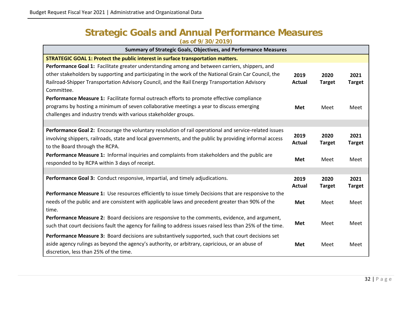#### **Strategic Goals and Annual Performance Measures (as of 9/30/2019)**

<span id="page-31-0"></span>

| Summary of Strategic Goals, Objectives, and Performance Measures                                           |                |                       |                       |
|------------------------------------------------------------------------------------------------------------|----------------|-----------------------|-----------------------|
| STRATEGIC GOAL 1: Protect the public interest in surface transportation matters.                           |                |                       |                       |
| Performance Goal 1: Facilitate greater understanding among and between carriers, shippers, and             |                |                       |                       |
| other stakeholders by supporting and participating in the work of the National Grain Car Council, the      | 2019           | 2020                  | 2021                  |
| Railroad-Shipper Transportation Advisory Council, and the Rail Energy Transportation Advisory              | Actual         | <b>Target</b>         | <b>Target</b>         |
| Committee.                                                                                                 |                |                       |                       |
| Performance Measure 1: Facilitate formal outreach efforts to promote effective compliance                  |                |                       |                       |
| programs by hosting a minimum of seven collaborative meetings a year to discuss emerging                   | <b>Met</b>     | Meet                  | Meet                  |
| challenges and industry trends with various stakeholder groups.                                            |                |                       |                       |
|                                                                                                            |                |                       |                       |
| Performance Goal 2: Encourage the voluntary resolution of rail operational and service-related issues      |                |                       |                       |
| involving shippers, railroads, state and local governments, and the public by providing informal access    | 2019<br>Actual | 2020<br><b>Target</b> | 2021<br><b>Target</b> |
| to the Board through the RCPA.                                                                             |                |                       |                       |
| Performance Measure 1: Informal inquiries and complaints from stakeholders and the public are              |                |                       |                       |
| responded to by RCPA within 3 days of receipt.                                                             | Met            | Meet                  | Meet                  |
|                                                                                                            |                |                       |                       |
| Performance Goal 3: Conduct responsive, impartial, and timely adjudications.                               | 2019           | 2020                  | 2021                  |
|                                                                                                            | Actual         | <b>Target</b>         | <b>Target</b>         |
| Performance Measure 1: Use resources efficiently to issue timely Decisions that are responsive to the      |                |                       |                       |
| needs of the public and are consistent with applicable laws and precedent greater than 90% of the          | Met            | Meet                  | Meet                  |
| time.                                                                                                      |                |                       |                       |
| Performance Measure 2: Board decisions are responsive to the comments, evidence, and argument,             | <b>Met</b>     | Meet                  | Meet                  |
| such that court decisions fault the agency for failing to address issues raised less than 25% of the time. |                |                       |                       |
| Performance Measure 3: Board decisions are substantively supported, such that court decisions set          |                |                       |                       |
| aside agency rulings as beyond the agency's authority, or arbitrary, capricious, or an abuse of            | Met            | Meet                  | Meet                  |
| discretion, less than 25% of the time.                                                                     |                |                       |                       |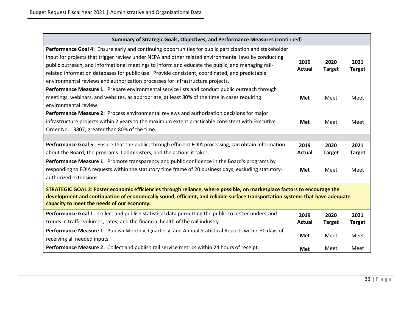| Summary of Strategic Goals, Objectives, and Performance Measures (continued)                                                                                                                                                                                                                                                                                                                                                                                                                           |                              |                               |                               |
|--------------------------------------------------------------------------------------------------------------------------------------------------------------------------------------------------------------------------------------------------------------------------------------------------------------------------------------------------------------------------------------------------------------------------------------------------------------------------------------------------------|------------------------------|-------------------------------|-------------------------------|
| Performance Goal 4: Ensure early and continuing opportunities for public participation and stakeholder<br>input for projects that trigger review under NEPA and other related environmental laws by conducting<br>public outreach, and informational meetings to inform and educate the public, and managing rail-<br>related information databases for public use. Provide consistent, coordinated, and predictable<br>environmental reviews and authorization processes for infrastructure projects. | 2019<br>Actual               | 2020<br><b>Target</b>         | 2021<br><b>Target</b>         |
| Performance Measure 1: Prepare environmental service lists and conduct public outreach through<br>meetings, webinars, and websites, as appropriate, at least 80% of the time in cases requiring<br>environmental review.                                                                                                                                                                                                                                                                               | <b>Met</b>                   | Meet                          | Meet                          |
| Performance Measure 2: Process environmental reviews and authorization decisions for major<br>infrastructure projects within 2 years to the maximum extent practicable consistent with Executive<br>Order No. 13807, greater than 80% of the time.                                                                                                                                                                                                                                                     | <b>Met</b>                   | Meet                          | Meet                          |
| Performance Goal 5: Ensure that the public, through efficient FOIA processing, can obtain information<br>about the Board, the programs it administers, and the actions it takes.<br>Performance Measure 1: Promote transparency and public confidence in the Board's programs by<br>responding to FOIA requests within the statutory time frame of 20 business days, excluding statutory-                                                                                                              | 2019<br>Actual<br><b>Met</b> | 2020<br><b>Target</b><br>Meet | 2021<br><b>Target</b><br>Meet |
| authorized extensions.<br>STRATEGIC GOAL 2: Foster economic efficiencies through reliance, where possible, on marketplace factors to encourage the<br>development and continuation of economically sound, efficient, and reliable surface transportation systems that have adequate<br>capacity to meet the needs of our economy.                                                                                                                                                                      |                              |                               |                               |
| Performance Goal 1: Collect and publish statistical data permitting the public to better understand<br>trends in traffic volumes, rates, and the financial health of the rail industry.                                                                                                                                                                                                                                                                                                                | 2019<br>Actual               | 2020<br><b>Target</b>         | 2021<br><b>Target</b>         |
| Performance Measure 1: Publish Monthly, Quarterly, and Annual Statistical Reports within 30 days of<br>receiving all needed inputs.                                                                                                                                                                                                                                                                                                                                                                    | Met                          | Meet                          | Meet                          |
| Performance Measure 2: Collect and publish rail service metrics within 24 hours of receipt.                                                                                                                                                                                                                                                                                                                                                                                                            | Met                          | Meet                          | Meet                          |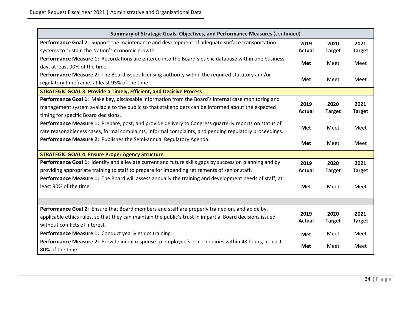| Summary of Strategic Goals, Objectives, and Performance Measures (continued)                              |                       |                       |                       |
|-----------------------------------------------------------------------------------------------------------|-----------------------|-----------------------|-----------------------|
| Performance Goal 2: Support the maintenance and development of adequate surface transportation            | 2019                  | 2020                  | 2021                  |
| systems to sustain the Nation's economic growth.                                                          | <b>Actual</b>         | <b>Target</b>         | <b>Target</b>         |
| Performance Measure 1: Recordations are entered into the Board's public database within one business      |                       |                       |                       |
| day, at least 90% of the time.                                                                            | Met                   | Meet                  | Meet                  |
| Performance Measure 2: The Board issues licensing authority within the required statutory and/or          |                       |                       |                       |
| regulatory timeframe, at least 95% of the time.                                                           | <b>Met</b>            | Meet                  | Meet                  |
| <b>STRATEGIC GOAL 3: Provide a Timely, Efficient, and Decisive Process</b>                                |                       |                       |                       |
| Performance Goal 1: Make key, disclosable information from the Board's internal case monitoring and       |                       |                       |                       |
| management system available to the public so that stakeholders can be informed about the expected         | 2019<br><b>Actual</b> | 2020<br><b>Target</b> | 2021<br><b>Target</b> |
| timing for specific Board decisions.                                                                      |                       |                       |                       |
| Performance Measure 1: Prepare, post, and provide delivery to Congress quarterly reports on status of     |                       |                       |                       |
| rate reasonableness cases, formal complaints, informal complaints, and pending regulatory proceedings.    | Met                   | Meet                  | Meet                  |
| Performance Measure 2: Publishes the Semi-annual Regulatory Agenda.                                       | Met                   | Meet                  | Meet                  |
|                                                                                                           |                       |                       |                       |
| <b>STRATEGIC GOAL 4: Ensure Proper Agency Structure</b>                                                   |                       |                       |                       |
| Performance Goal 1: Identify and alleviate current and future skills gaps by succession planning and by   | 2019                  | 2020                  | 2021                  |
| providing appropriate training to staff to prepare for impending retirements of senior staff.             | <b>Actual</b>         | <b>Target</b>         | <b>Target</b>         |
| Performance Measure 1: The Board will assess annually the training and development needs of staff, at     |                       |                       |                       |
| least 90% of the time.                                                                                    | Met                   | Meet                  | Meet                  |
|                                                                                                           |                       |                       |                       |
|                                                                                                           |                       |                       |                       |
| Performance Goal 2: Ensure that Board members and staff are properly trained on, and abide by,            | 2019                  | 2020                  | 2021                  |
| applicable ethics rules, so that they can maintain the public's trust in impartial Board decisions issued | <b>Actual</b>         | <b>Target</b>         | <b>Target</b>         |
| without conflicts of interest.                                                                            |                       |                       |                       |
| Performance Measure 1: Conduct yearly ethics training.                                                    | Met                   | Meet                  | Meet                  |
| Performance Measure 2: Provide initial response to employee's ethic inquiries within 48 hours, at least   | Met                   | Meet                  | Meet                  |
| 80% of the time.                                                                                          |                       |                       |                       |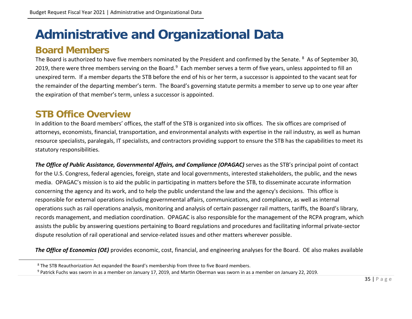# <span id="page-34-4"></span><span id="page-34-3"></span>**Administrative and Organizational Data**

### **Board Members**

The Board is authorized to have five members nominated by the President and confirmed by the Senate. <sup>[8](#page-34-3)</sup> As of September 30, 2019, there were three members serving on the Board.<sup>9</sup> Each member serves a term of five years, unless appointed to fill an unexpired term. If a member departs the STB before the end of his or her term, a successor is appointed to the vacant seat for the remainder of the departing member's term. The Board's governing statute permits a member to serve up to one year after the expiration of that member's term, unless a successor is appointed.

## **STB Office Overview**

<span id="page-34-1"></span><span id="page-34-0"></span>In addition to the Board members' offices, the staff of the STB is organized into six offices. The six offices are comprised of attorneys, economists, financial, transportation, and environmental analysts with expertise in the rail industry, as well as human resource specialists, paralegals, IT specialists, and contractors providing support to ensure the STB has the capabilities to meet its statutory responsibilities.

<span id="page-34-2"></span>*The Office of Public Assistance, Governmental Affairs, and Compliance (OPAGAC)* serves as the STB's principal point of contact for the U.S. Congress, federal agencies, foreign, state and local governments, interested stakeholders, the public, and the news media. OPAGAC's mission is to aid the public in participating in matters before the STB, to disseminate accurate information concerning the agency and its work, and to help the public understand the law and the agency's decisions. This office is responsible for external operations including governmental affairs, communications, and compliance, as well as internal operations such as rail operations analysis, monitoring and analysis of certain passenger rail matters, tariffs, the Board's library, records management, and mediation coordination. OPAGAC is also responsible for the management of the RCPA program, which assists the public by answering questions pertaining to Board regulations and procedures and facilitating informal private-sector dispute resolution of rail operational and service-related issues and other matters wherever possible.

*The Office of Economics (OE)* provides economic, cost, financial, and engineering analyses for the Board. OE also makes available

<sup>&</sup>lt;sup>8</sup> The STB Reauthorization Act expanded the Board's membership from three to five Board members.

<sup>9</sup> Patrick Fuchs was sworn in as a member on January 17, 2019, and Martin Oberman was sworn in as a member on January 22, 2019.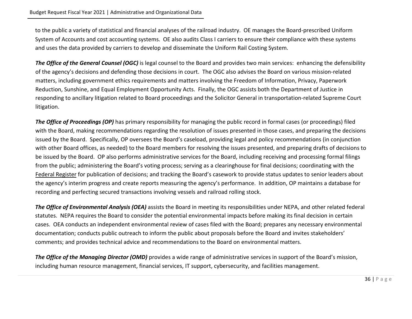to the public a variety of statistical and financial analyses of the railroad industry. OE manages the Board-prescribed Uniform System of Accounts and cost accounting systems. OE also audits Class I carriers to ensure their compliance with these systems and uses the data provided by carriers to develop and disseminate the Uniform Rail Costing System.

*The Office of the General Counsel (OGC)* is legal counsel to the Board and provides two main services: enhancing the defensibility of the agency's decisions and defending those decisions in court. The OGC also advises the Board on various mission-related matters, including government ethics requirements and matters involving the Freedom of Information, Privacy, Paperwork Reduction, Sunshine, and Equal Employment Opportunity Acts. Finally, the OGC assists both the Department of Justice in responding to ancillary litigation related to Board proceedings and the Solicitor General in transportation-related Supreme Court litigation.

**The Office of Proceedings (OP)** has primary responsibility for managing the public record in formal cases (or proceedings) filed with the Board, making recommendations regarding the resolution of issues presented in those cases, and preparing the decisions issued by the Board. Specifically, OP oversees the Board's caseload, providing legal and policy recommendations (in conjunction with other Board offices, as needed) to the Board members for resolving the issues presented, and preparing drafts of decisions to be issued by the Board. OP also performs administrative services for the Board, including receiving and processing formal filings from the public; administering the Board's voting process; serving as a clearinghouse for final decisions; coordinating with the Federal Register for publication of decisions; and tracking the Board's casework to provide status updates to senior leaders about the agency's interim progress and create reports measuring the agency's performance. In addition, OP maintains a database for recording and perfecting secured transactions involving vessels and railroad rolling stock.

*The Office of Environmental Analysis (OEA)* assists the Board in meeting its responsibilities under NEPA, and other related federal statutes. NEPA requires the Board to consider the potential environmental impacts before making its final decision in certain cases. OEA conducts an independent environmental review of cases filed with the Board; prepares any necessary environmental documentation; conducts public outreach to inform the public about proposals before the Board and invites stakeholders' comments; and provides technical advice and recommendations to the Board on environmental matters.

*The Office of the Managing Director (OMD)* provides a wide range of administrative services in support of the Board's mission, including human resource management, financial services, IT support, cybersecurity, and facilities management.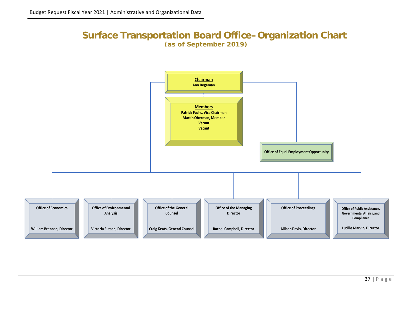#### **Surface Transportation Board Office–Organization Chart (as of September 2019)**

<span id="page-36-0"></span>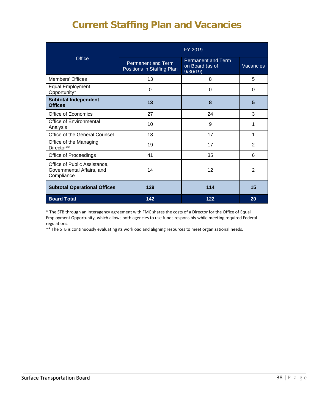# **Current Staffing Plan and Vacancies**

<span id="page-37-0"></span>

|                                                                         | FY 2019                                                 |                                                         |                  |  |
|-------------------------------------------------------------------------|---------------------------------------------------------|---------------------------------------------------------|------------------|--|
| <b>Office</b>                                                           | <b>Permanent and Term</b><br>Positions in Staffing Plan | <b>Permanent and Term</b><br>on Board (as of<br>9/30/19 | <b>Vacancies</b> |  |
| <b>Members' Offices</b>                                                 | 13                                                      | 8                                                       | 5                |  |
| <b>Equal Employment</b><br>Opportunity*                                 | $\Omega$                                                | 0                                                       | 0                |  |
| <b>Subtotal Independent</b><br><b>Offices</b>                           | 13                                                      | 8                                                       | 5                |  |
| Office of Economics                                                     | 27                                                      | 24                                                      | 3                |  |
| Office of Environmental<br>Analysis                                     | 10                                                      | 9                                                       | 1                |  |
| Office of the General Counsel                                           | 18                                                      | 17                                                      | 1                |  |
| Office of the Managing<br>Director**                                    | 19                                                      | 17                                                      | $\mathcal{P}$    |  |
| Office of Proceedings                                                   | 41                                                      | 35                                                      | 6                |  |
| Office of Public Assistance,<br>Governmental Affairs, and<br>Compliance | 14                                                      | 12                                                      | $\mathfrak{p}$   |  |
| <b>Subtotal Operational Offices</b>                                     | 129                                                     | 114                                                     | 15               |  |
| <b>Board Total</b>                                                      | 142                                                     | 122                                                     | 20               |  |

\* The STB through an Interagency agreement with FMC shares the costs of a Director for the Office of Equal Employment Opportunity, which allows both agencies to use funds responsibly while meeting required Federal regulations.

\*\* The STB is continuously evaluating its workload and aligning resources to meet organizational needs.